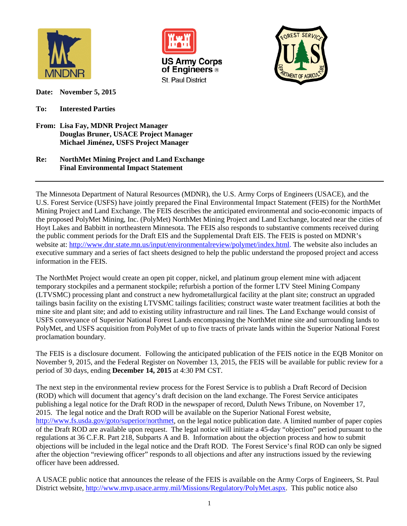

**US Army Corps** of Engineers<sup>®</sup> St. Paul District



**Date: November 5, 2015**

**To: Interested Parties**

**From: Lisa Fay, MDNR Project Manager Douglas Bruner, USACE Project Manager Michael Jiménez, USFS Project Manager**

## **Re: NorthMet Mining Project and Land Exchange Final Environmental Impact Statement**

The Minnesota Department of Natural Resources (MDNR), the U.S. Army Corps of Engineers (USACE), and the U.S. Forest Service (USFS) have jointly prepared the Final Environmental Impact Statement (FEIS) for the NorthMet Mining Project and Land Exchange. The FEIS describes the anticipated environmental and socio-economic impacts of the proposed PolyMet Mining, Inc. (PolyMet) NorthMet Mining Project and Land Exchange, located near the cities of Hoyt Lakes and Babbitt in northeastern Minnesota. The FEIS also responds to substantive comments received during the public comment periods for the Draft EIS and the Supplemental Draft EIS. The FEIS is posted on MDNR's website at: [http://www.dnr.state.mn.us/input/environmentalreview/polymet/index.html.](http://www.dnr.state.mn.us/input/environmentalreview/polymet/index.html) The website also includes an executive summary and a series of fact sheets designed to help the public understand the proposed project and access information in the FEIS.

The NorthMet Project would create an open pit copper, nickel, and platinum group element mine with adjacent temporary stockpiles and a permanent stockpile; refurbish a portion of the former LTV Steel Mining Company (LTVSMC) processing plant and construct a new hydrometallurgical facility at the plant site; construct an upgraded tailings basin facility on the existing LTVSMC tailings facilities; construct waste water treatment facilities at both the mine site and plant site; and add to existing utility infrastructure and rail lines. The Land Exchange would consist of USFS conveyance of Superior National Forest Lands encompassing the NorthMet mine site and surrounding lands to PolyMet, and USFS acquisition from PolyMet of up to five tracts of private lands within the Superior National Forest proclamation boundary.

The FEIS is a disclosure document. Following the anticipated publication of the FEIS notice in the EQB Monitor on November 9, 2015, and the Federal Register on November 13, 2015, the FEIS will be available for public review for a period of 30 days, ending **December 14, 2015** at 4:30 PM CST.

The next step in the environmental review process for the Forest Service is to publish a Draft Record of Decision (ROD) which will document that agency's draft decision on the land exchange. The Forest Service anticipates publishing a legal notice for the Draft ROD in the newspaper of record, Duluth News Tribune, on November 17, 2015. The legal notice and the Draft ROD will be available on the Superior National Forest website, [http://www.fs.usda.gov/goto/superior/northmet,](http://www.fs.usda.gov/goto/superior/northmet) on the legal notice publication date. A limited number of paper copies of the Draft ROD are available upon request. The legal notice will initiate a 45-day "objection" period pursuant to the regulations at 36 C.F.R. Part 218, Subparts A and B. Information about the objection process and how to submit objections will be included in the legal notice and the Draft ROD. The Forest Service's final ROD can only be signed after the objection "reviewing officer" responds to all objections and after any instructions issued by the reviewing officer have been addressed.

A USACE public notice that announces the release of the FEIS is available on the Army Corps of Engineers, St. Paul District website, [http://www.mvp.usace.army.mil/Missions/Regulatory/PolyMet.aspx.](http://www.mvp.usace.army.mil/Missions/Regulatory/PolyMet.aspx) This public notice also